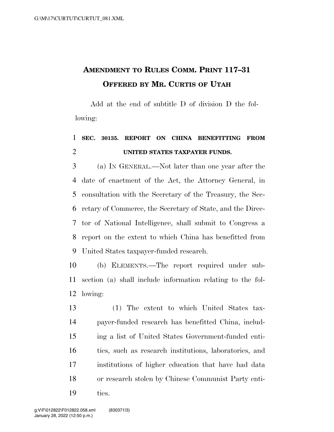## **AMENDMENT TO RULES COMM. PRINT 117–31 OFFERED BY MR. CURTIS OF UTAH**

Add at the end of subtitle D of division D the following:

## **SEC. 30135. REPORT ON CHINA BENEFITTING FROM UNITED STATES TAXPAYER FUNDS.**

 (a) IN GENERAL.—Not later than one year after the date of enactment of the Act, the Attorney General, in consultation with the Secretary of the Treasury, the Sec- retary of Commerce, the Secretary of State, and the Direc- tor of National Intelligence, shall submit to Congress a report on the extent to which China has benefitted from United States taxpayer-funded research.

 (b) ELEMENTS.—The report required under sub- section (a) shall include information relating to the fol-lowing:

 (1) The extent to which United States tax- payer-funded research has benefitted China, includ- ing a list of United States Government-funded enti- ties, such as research institutions, laboratories, and institutions of higher education that have had data or research stolen by Chinese Communist Party enti-ties.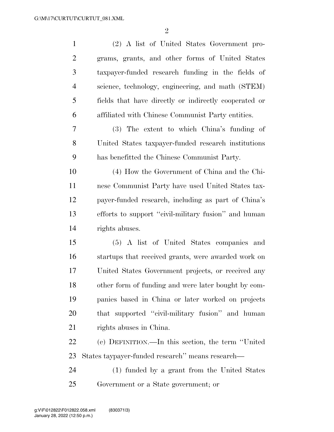| $\mathbf{1}$   | (2) A list of United States Government pro-           |
|----------------|-------------------------------------------------------|
| $\overline{2}$ | grams, grants, and other forms of United States       |
| 3              | taxpayer-funded research funding in the fields of     |
| $\overline{4}$ | science, technology, engineering, and math (STEM)     |
| 5              | fields that have directly or indirectly cooperated or |
| 6              | affiliated with Chinese Communist Party entities.     |
| 7              | (3) The extent to which China's funding of            |
| 8              | United States taxpayer-funded research institutions   |
| 9              | has benefitted the Chinese Communist Party.           |
| 10             | (4) How the Government of China and the Chi-          |
| 11             | nese Communist Party have used United States tax-     |
| 12             | payer-funded research, including as part of China's   |
| 13             | efforts to support "civil-military fusion" and human  |
| 14             | rights abuses.                                        |
| 15             | (5) A list of United States companies and             |
| 16             | startups that received grants, were awarded work on   |
| 17             | United States Government projects, or received any    |
| 18             | other form of funding and were later bought by com-   |
| 19             | panies based in China or later worked on projects     |
| 20             | that supported "civil-military fusion" and human      |
| 21             | rights abuses in China.                               |
| 22             | (c) DEFINITION.—In this section, the term "United     |
| 23             | States taypayer-funded research" means research—      |
| 24             | (1) funded by a grant from the United States          |
| 25             | Government or a State government; or                  |